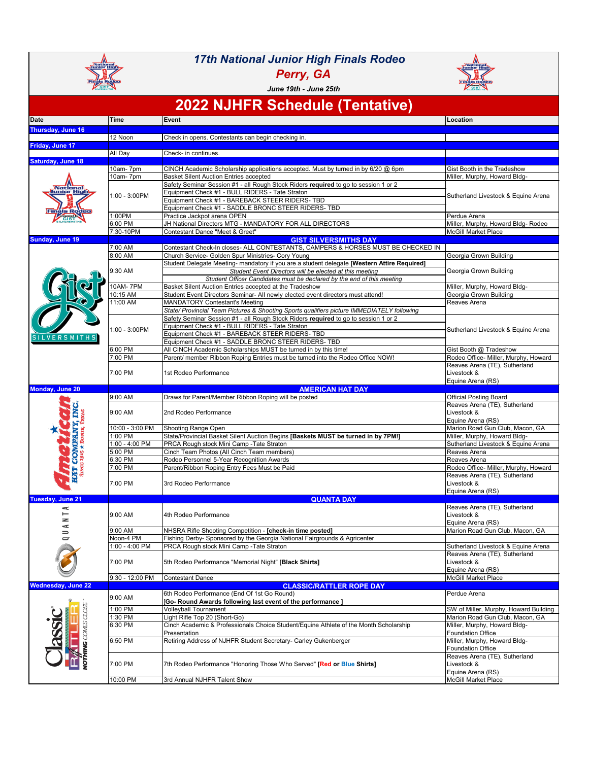| _National<br>Junior High<br>SILVERSMIT                   |                             | <b>17th National Junior High Finals Rodeo</b><br>Perry, GA<br>June 19th - June 25th                                                                                                                                                                                                     | National<br>Junior High<br>áls Rot<br><b>SILENE</b>                      |  |  |
|----------------------------------------------------------|-----------------------------|-----------------------------------------------------------------------------------------------------------------------------------------------------------------------------------------------------------------------------------------------------------------------------------------|--------------------------------------------------------------------------|--|--|
| <b>2022 NJHFR Schedule (Tentative)</b>                   |                             |                                                                                                                                                                                                                                                                                         |                                                                          |  |  |
| <b>Date</b>                                              | <b>Time</b>                 | Event                                                                                                                                                                                                                                                                                   | Location                                                                 |  |  |
| <b>Thursday, June 16</b>                                 | 12 Noon                     | Check in opens. Contestants can begin checking in.                                                                                                                                                                                                                                      |                                                                          |  |  |
| Friday, June 17                                          |                             |                                                                                                                                                                                                                                                                                         |                                                                          |  |  |
| <b>Saturday, June 18</b>                                 | All Day                     | Check- in continues.                                                                                                                                                                                                                                                                    |                                                                          |  |  |
| National<br>Junior High<br><b>Finals Roden</b>           | 10am-7pm<br>10am-7pm        | CINCH Academic Scholarship applications accepted. Must by turned in by 6/20 @ 6pm<br><b>Basket Silent Auction Entries accepted</b>                                                                                                                                                      | Gist Booth in the Tradeshow<br>Miller, Murphy, Howard Bldg-              |  |  |
|                                                          | 1:00 - 3:00PM               | Safety Seminar Session #1 - all Rough Stock Riders required to go to session 1 or 2<br>Equipment Check #1 - BULL RIDERS - Tate Straton<br>Equipment Check #1 - BAREBACK STEER RIDERS- TBD                                                                                               | Sutherland Livestock & Equine Arena                                      |  |  |
|                                                          | 1:00PM<br>6:00 PM           | Equipment Check #1 - SADDLE BRONC STEER RIDERS- TBD<br>Practice Jackpot arena OPEN<br>JH National Directors MTG - MANDATORY FOR ALL DIRECTORS                                                                                                                                           | Perdue Arena                                                             |  |  |
|                                                          | 7:30-10PM                   | Contestant Dance "Meet & Greet"                                                                                                                                                                                                                                                         | Miller, Murphy, Howard Bldg-Rodeo<br><b>McGill Market Place</b>          |  |  |
| <b>Sunday, June 19</b>                                   | 7:00 AM                     | <b>GIST SILVERSMITHS DAY</b><br>Contestant Check-In closes- ALL CONTESTANTS, CAMPERS & HORSES MUST BE CHECKED IN                                                                                                                                                                        |                                                                          |  |  |
|                                                          | 8:00 AM                     | Church Service- Golden Spur Ministries- Cory Young                                                                                                                                                                                                                                      | Georgia Grown Building                                                   |  |  |
|                                                          | 9:30 AM                     | Student Delegate Meeting- mandatory if you are a student delegate [Western Attire Required]<br>Student Event Directors will be elected at this meeting<br>Student Officer Candidates must be declared by the end of this meeting                                                        | Georgia Grown Building                                                   |  |  |
|                                                          | <b>10AM-7PM</b><br>10:15 AM | Basket Silent Auction Entries accepted at the Tradeshow<br>Student Event Directors Seminar- All newly elected event directors must attend!                                                                                                                                              | Miller, Murphy, Howard Bldg-<br>Georgia Grown Building                   |  |  |
|                                                          | 11:00 AM                    | <b>MANDATORY Contestant's Meeting</b>                                                                                                                                                                                                                                                   | Reaves Arena                                                             |  |  |
| SILVERSMITHS                                             | 1:00 - 3:00PM               | State/ Provincial Team Pictures & Shooting Sports qualifiers picture IMMEDIATELY following<br>Safety Seminar Session #1 - all Rough Stock Riders required to go to session 1 or 2<br>Equipment Check #1 - BULL RIDERS - Tate Straton<br>Equipment Check #1 - BAREBACK STEER RIDERS- TBD | Sutherland Livestock & Equine Arena                                      |  |  |
|                                                          | 6:00 PM                     | Equipment Check #1 - SADDLE BRONC STEER RIDERS- TBD<br>All CINCH Academic Scholarships MUST be turned in by this time!                                                                                                                                                                  | Gist Booth @ Tradeshow                                                   |  |  |
|                                                          | 7:00 PM                     | Parent/ member Ribbon Roping Entries must be turned into the Rodeo Office NOW!                                                                                                                                                                                                          | Rodeo Office- Miller, Murphy, Howard                                     |  |  |
|                                                          | 7:00 PM                     | 1st Rodeo Performance                                                                                                                                                                                                                                                                   | Reaves Arena (TE), Sutherland<br>Livestock &<br>Equine Arena (RS)        |  |  |
| <b>Monday, June 20</b>                                   | 9:00 AM                     | <b>AMERICAN HAT DAY</b><br>Draws for Parent/Member Ribbon Roping will be posted                                                                                                                                                                                                         | <b>Official Posting Board</b>                                            |  |  |
| <b>TING.</b>                                             | 9:00 AM                     | 2nd Rodeo Performance                                                                                                                                                                                                                                                                   | Reaves Arena (TE), Sutherland<br>Livestock &<br>Equine Arena (RS)        |  |  |
|                                                          | 10:00 - 3:00 PM             | <b>Shooting Range Open</b>                                                                                                                                                                                                                                                              | Marion Road Gun Club, Macon, GA                                          |  |  |
|                                                          | 1:00 PM<br>$1:00 - 4:00$ PM | State/Provincial Basket Silent Auction Begins [Baskets MUST be turned in by 7PM!]<br>PRCA Rough stock Mini Camp - Tate Straton                                                                                                                                                          | Miller, Murphy, Howard Bldg-<br>Sutherland Livestock & Equine Arena      |  |  |
|                                                          | 5:00 PM                     | Cinch Team Photos (All Cinch Team members)                                                                                                                                                                                                                                              | Reaves Arena                                                             |  |  |
|                                                          | 6:30 PM<br>7:00 PM          | Rodeo Personnel 5-Year Recognition Awards<br>Parent/Ribbon Roping Entry Fees Must be Paid                                                                                                                                                                                               | Reaves Arena<br>Rodeo Office- Miller, Murphy, Howard                     |  |  |
| <b>HAT COMPANY,</b><br>SINGE 1915 * BOWE, TI             | 7:00 PM                     | 3rd Rodeo Performance                                                                                                                                                                                                                                                                   | Reaves Arena (TE), Sutherland<br>Livestock &<br>Equine Arena (RS)        |  |  |
| <b>Tuesday, June 21</b>                                  |                             | <b>QUANTA DAY</b>                                                                                                                                                                                                                                                                       | Reaves Arena (TE), Sutherland                                            |  |  |
| ⋖<br>z<br>¢<br>$\Rightarrow$<br>$\overline{\phantom{0}}$ | 9:00 AM                     | 4th Rodeo Performance                                                                                                                                                                                                                                                                   | Livestock &<br>Equine Arena (RS)                                         |  |  |
|                                                          | 9:00 AM<br>Noon-4 PM        | NHSRA Rifle Shooting Competition - [check-in time posted]<br>Fishing Derby- Sponsored by the Georgia National Fairgrounds & Agricenter                                                                                                                                                  | Marion Road Gun Club, Macon, GA                                          |  |  |
|                                                          | 1:00 - 4:00 PM              | PRCA Rough stock Mini Camp - Tate Straton                                                                                                                                                                                                                                               | Sutherland Livestock & Equine Arena                                      |  |  |
|                                                          | 7:00 PM                     | 5th Rodeo Performance "Memorial Night" [Black Shirts]                                                                                                                                                                                                                                   | Reaves Arena (TE), Sutherland<br>Livestock &<br>Equine Arena (RS)        |  |  |
| <b>Wednesday, June 22</b>                                | 9:30 - 12:00 PM             | Contestant Dance<br><b>CLASSIC/RATTLER ROPE DAY</b>                                                                                                                                                                                                                                     | <b>McGill Market Place</b>                                               |  |  |
| aps<br>COMES<br><b>THING</b>                             | 9:00 AM<br>1:00 PM          | 6th Rodeo Performance (End Of 1st Go Round)<br>[Go- Round Awards following last event of the performance]                                                                                                                                                                               | Perdue Arena                                                             |  |  |
|                                                          | 1:30 PM                     | <b>Volleyball Tournament</b><br>Light Rifle Top 20 (Short-Go)                                                                                                                                                                                                                           | SW of Miller, Murphy, Howard Building<br>Marion Road Gun Club, Macon, GA |  |  |
|                                                          | 6:30 PM                     | Cinch Academic & Professionals Choice Student/Equine Athlete of the Month Scholarship<br>Presentation                                                                                                                                                                                   | Miller, Murphy, Howard Bldg-<br><b>Foundation Office</b>                 |  |  |
|                                                          | 6:50 PM                     | Retiring Address of NJHFR Student Secretary- Carley Gukenberger                                                                                                                                                                                                                         | Miller, Murphy, Howard Bldg-<br><b>Foundation Office</b>                 |  |  |
|                                                          | 7:00 PM                     | 7th Rodeo Performance "Honoring Those Who Served" [Red or Blue Shirts]                                                                                                                                                                                                                  | Reaves Arena (TE), Sutherland<br>Livestock &<br>Equine Arena (RS)        |  |  |
|                                                          | 10:00 PM                    | 3rd Annual NJHFR Talent Show                                                                                                                                                                                                                                                            | McGill Market Place                                                      |  |  |